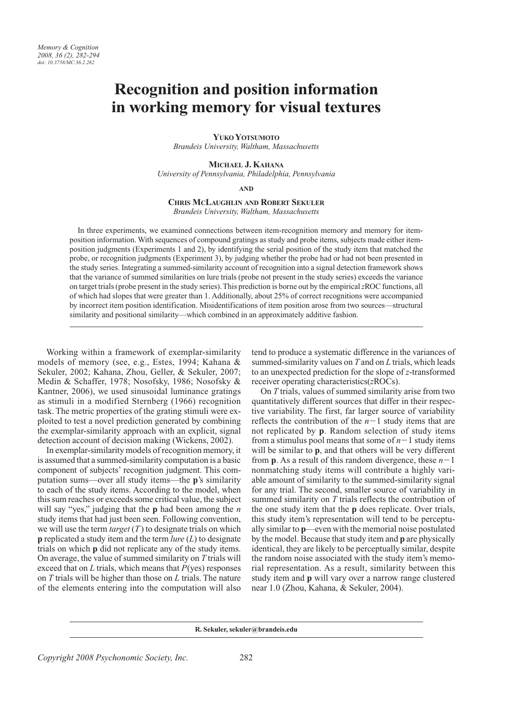# **Recognition and position information** in working memory for visual textures

**YUKO YOTSUMOTO** 

Brandeis University, Waltham, Massachusetts

MICHAEL J. KAHANA

University of Pennsylvania, Philadelphia, Pennsylvania

**AND** 

# **CHRIS MCLAUGHLIN AND ROBERT SEKULER**

Brandeis University, Waltham, Massachusetts

In three experiments, we examined connections between item-recognition memory and memory for itemposition information. With sequences of compound gratings as study and probe items, subjects made either itemposition judgments (Experiments 1 and 2), by identifying the serial position of the study item that matched the probe, or recognition judgments (Experiment 3), by judging whether the probe had or had not been presented in the study series. Integrating a summed-similarity account of recognition into a signal detection framework shows that the variance of summed similarities on lure trials (probe not present in the study series) exceeds the variance on target trials (probe present in the study series). This prediction is borne out by the empirical zROC functions, all of which had slopes that were greater than 1. Additionally, about 25% of correct recognitions were accompanied by incorrect item position identification. Misidentifications of item position arose from two sources—structural similarity and positional similarity—which combined in an approximately additive fashion.

Working within a framework of exemplar-similarity models of memory (see, e.g., Estes, 1994; Kahana & Sekuler, 2002; Kahana, Zhou, Geller, & Sekuler, 2007; Medin & Schaffer, 1978; Nosofsky, 1986; Nosofsky & Kantner, 2006), we used sinusoidal luminance gratings as stimuli in a modified Sternberg (1966) recognition task. The metric properties of the grating stimuli were exploited to test a novel prediction generated by combining the exemplar-similarity approach with an explicit, signal detection account of decision making (Wickens, 2002).

In exemplar-similarity models of recognition memory, it is assumed that a summed-similarity computation is a basic component of subjects' recognition judgment. This computation sums—over all study items—the **p**'s similarity to each of the study items. According to the model, when this sum reaches or exceeds some critical value, the subject will say "yes," judging that the **p** had been among the *n* study items that had just been seen. Following convention, we will use the term  $target(T)$  to designate trials on which **p** replicated a study item and the term  $lure(L)$  to designate trials on which **p** did not replicate any of the study items. On average, the value of summed similarity on  $T$  trials will exceed that on  $L$  trials, which means that  $P(yes)$  responses on  $T$  trials will be higher than those on  $L$  trials. The nature of the elements entering into the computation will also

tend to produce a systematic difference in the variances of summed-similarity values on  $T$  and on  $L$  trials, which leads to an unexpected prediction for the slope of  $z$ -transformed receiver operating characteristics(zROCs).

On  $T$  trials, values of summed similarity arise from two quantitatively different sources that differ in their respective variability. The first, far larger source of variability reflects the contribution of the  $n-1$  study items that are not replicated by **p**. Random selection of study items from a stimulus pool means that some of  $n-1$  study items will be similar to **p**, and that others will be very different from **p**. As a result of this random divergence, these  $n-1$ nonmatching study items will contribute a highly variable amount of similarity to the summed-similarity signal for any trial. The second, smaller source of variability in summed similarity on  $T$  trials reflects the contribution of the one study item that the **p** does replicate. Over trials, this study item's representation will tend to be perceptually similar to **p**—even with the memorial noise postulated by the model. Because that study item and **p** are physically identical, they are likely to be perceptually similar, despite the random noise associated with the study item's memorial representation. As a result, similarity between this study item and **p** will vary over a narrow range clustered near 1.0 (Zhou, Kahana, & Sekuler, 2004).

R. Sekuler, sekuler@brandeis.edu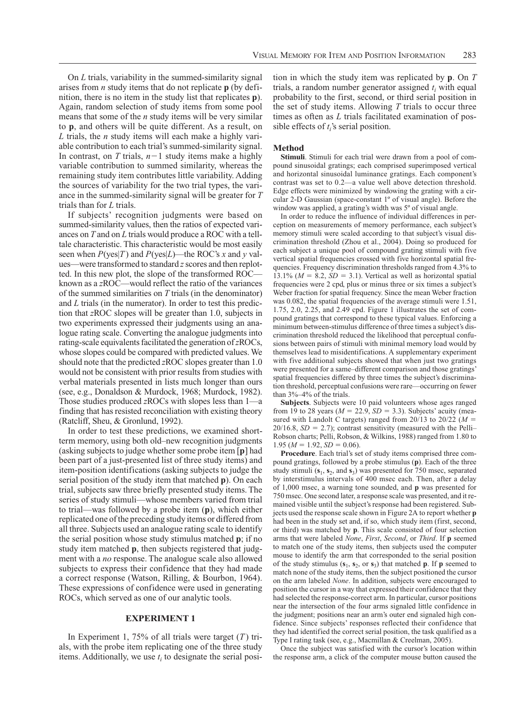On L trials, variability in the summed-similarity signal arises from *n* study items that do not replicate  $\bf{p}$  (by definition, there is no item in the study list that replicates **p**). Again, random selection of study items from some pool means that some of the *n* study items will be very similar to **p**, and others will be quite different. As a result, on L trials, the  $n$  study items will each make a highly variable contribution to each trial's summed-similarity signal. In contrast, on T trials,  $n-1$  study items make a highly variable contribution to summed similarity, whereas the remaining study item contributes little variability. Adding the sources of variability for the two trial types, the variance in the summed-similarity signal will be greater for  $T$ trials than for L trials.

If subjects' recognition judgments were based on summed-similarity values, then the ratios of expected variances on T and on L trials would produce a ROC with a telltale characteristic. This characteristic would be most easily seen when  $P(yes|T)$  and  $P(yes|L)$ —the ROC's x and y values—were transformed to standard z scores and then replotted. In this new plot, the slope of the transformed ROCknown as a zROC—would reflect the ratio of the variances of the summed similarities on  $T$  trials (in the denominator) and  $L$  trials (in the numerator). In order to test this prediction that zROC slopes will be greater than 1.0, subjects in two experiments expressed their judgments using an analogue rating scale. Converting the analogue judgments into rating-scale equivalents facilitated the generation of zROCs, whose slopes could be compared with predicted values. We should note that the predicted zROC slopes greater than 1.0 would not be consistent with prior results from studies with verbal materials presented in lists much longer than ours (see, e.g., Donaldson & Murdock, 1968; Murdock, 1982). Those studies produced  $z\text{ROC}$  with slopes less than 1—a finding that has resisted reconciliation with existing theory (Ratcliff, Sheu, & Gronlund, 1992).

In order to test these predictions, we examined shortterm memory, using both old–new recognition judgments (asking subjects to judge whether some probe item [p] had been part of a just-presented list of three study items) and item-position identifications (asking subjects to judge the serial position of the study item that matched p). On each trial, subjects saw three briefly presented study items. The series of study stimuli—whose members varied from trial to trial—was followed by a probe item  $(p)$ , which either replicated one of the preceding study items or differed from all three. Subjects used an analogue rating scale to identify the serial position whose study stimulus matched  $\bf{p}$ ; if no study item matched **p**, then subjects registered that judgment with a *no* response. The analogue scale also allowed subjects to express their confidence that they had made a correct response (Watson, Rilling, & Bourbon, 1964). These expressions of confidence were used in generating ROCs, which served as one of our analytic tools.

## **EXPERIMENT1**

In Experiment 1, 75% of all trials were target  $(T)$  trials, with the probe item replicating one of the three study items. Additionally, we use  $t_i$  to designate the serial position in which the study item was replicated by  $p$ . On  $T$ trials, a random number generator assigned  $t_i$  with equal probability to the first, second, or third serial position in the set of study items. Allowing  $T$  trials to occur three times as often as  $L$  trials facilitated examination of possible effects of  $t_i$ 's serial position.

#### **Method**

Stimuli. Stimuli for each trial were drawn from a pool of compound sinusoidal gratings; each comprised superimposed vertical and horizontal sinusoidal luminance gratings. Each component's contrast was set to 0.2-a value well above detection threshold. Edge effects were minimized by windowing the grating with a circular 2-D Gaussian (space-constant 1<sup>°</sup> of visual angle). Before the window was applied, a grating's width was 5° of visual angle.

In order to reduce the influence of individual differences in perception on measurements of memory performance, each subject's memory stimuli were scaled according to that subject's visual discrimination threshold (Zhou et al., 2004). Doing so produced for each subject a unique pool of compound grating stimuli with five vertical spatial frequencies crossed with five horizontal spatial frequencies. Frequency discrimination thresholds ranged from 4.3% to 13.1% ( $M = 8.2$ ,  $SD = 3.1$ ). Vertical as well as horizontal spatial frequencies were 2 cpd, plus or minus three or six times a subject's Weber fraction for spatial frequency. Since the mean Weber fraction was 0.082, the spatial frequencies of the average stimuli were 1.51, 1.75, 2.0, 2.25, and 2.49 cpd. Figure 1 illustrates the set of compound gratings that correspond to these typical values. Enforcing a minimum between-stimulus difference of three times a subject's discrimination threshold reduced the likelihood that perceptual confusions between pairs of stimuli with minimal memory load would by themselves lead to misidentifications. A supplementary experiment with five additional subjects showed that when just two gratings were presented for a same-different comparison and those gratings' spatial frequencies differed by three times the subject's discrimination threshold, perceptual confusions were rare—occurring on fewer than 3%-4% of the trials.

**Subjects.** Subjects were 10 paid volunteers whose ages ranged from 19 to 28 years ( $M = 22.9$ ,  $SD = 3.3$ ). Subjects' acuity (measured with Landolt C targets) ranged from 20/13 to 20/22 ( $M =$  $20/16.8$ ,  $SD = 2.7$ ); contrast sensitivity (measured with the Pelli-Robson charts; Pelli, Robson, & Wilkins, 1988) ranged from 1.80 to  $1.95 (M = 1.92, SD = 0.06).$ 

Procedure. Each trial's set of study items comprised three compound gratings, followed by a probe stimulus  $(p)$ . Each of the three study stimuli  $(s_1, s_2, \text{ and } s_3)$  was presented for 750 msec, separated by interstimulus intervals of 400 msec each. Then, after a delay of  $1,000$  msec, a warning tone sounded, and  $\bf{p}$  was presented for 750 msec. One second later, a response scale was presented, and it remained visible until the subject's response had been registered. Subjects used the response scale shown in Figure 2A to report whether p had been in the study set and, if so, which study item (first, second, or third) was matched by **p**. This scale consisted of four selection arms that were labeled None, First, Second, or Third. If p seemed to match one of the study items, then subjects used the computer mouse to identify the arm that corresponded to the serial position of the study stimulus  $(s_1, s_2, \text{ or } s_3)$  that matched **p**. If **p** seemed to match none of the study items, then the subject positioned the cursor on the arm labeled None. In addition, subjects were encouraged to position the cursor in a way that expressed their confidence that they had selected the response-correct arm. In particular, cursor positions near the intersection of the four arms signaled little confidence in the judgment; positions near an arm's outer end signaled high confidence. Since subjects' responses reflected their confidence that they had identified the correct serial position, the task qualified as a Type I rating task (see, e.g., Macmillan & Creelman, 2005).

Once the subject was satisfied with the cursor's location within the response arm, a click of the computer mouse button caused the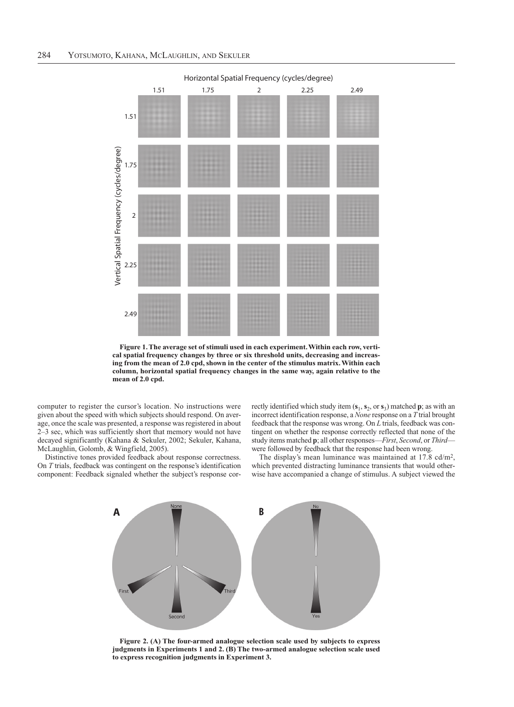

Figure 1. The average set of stimuli used in each experiment. Within each row, vertical spatial frequency changes by three or six threshold units, decreasing and increasing from the mean of 2.0 cpd, shown in the center of the stimulus matrix. Within each column, horizontal spatial frequency changes in the same way, again relative to the mean of 2.0 cpd.

computer to register the cursor's location. No instructions were given about the speed with which subjects should respond. On average, once the scale was presented, a response was registered in about 2-3 sec, which was sufficiently short that memory would not have decayed significantly (Kahana & Sekuler, 2002; Sekuler, Kahana, McLaughlin, Golomb, & Wingfield, 2005).

Distinctive tones provided feedback about response correctness. On T trials, feedback was contingent on the response's identification component: Feedback signaled whether the subject's response correctly identified which study item  $(s_1, s_2, \text{or } s_3)$  matched **p**; as with an incorrect identification response, a None response on a T trial brought feedback that the response was wrong. On L trials, feedback was contingent on whether the response correctly reflected that none of the study items matched p; all other responses—First, Second, or Third were followed by feedback that the response had been wrong.

The display's mean luminance was maintained at 17.8 cd/m<sup>2</sup>, which prevented distracting luminance transients that would otherwise have accompanied a change of stimulus. A subject viewed the



Figure 2. (A) The four-armed analogue selection scale used by subjects to express judgments in Experiments 1 and 2. (B) The two-armed analogue selection scale used to express recognition judgments in Experiment 3.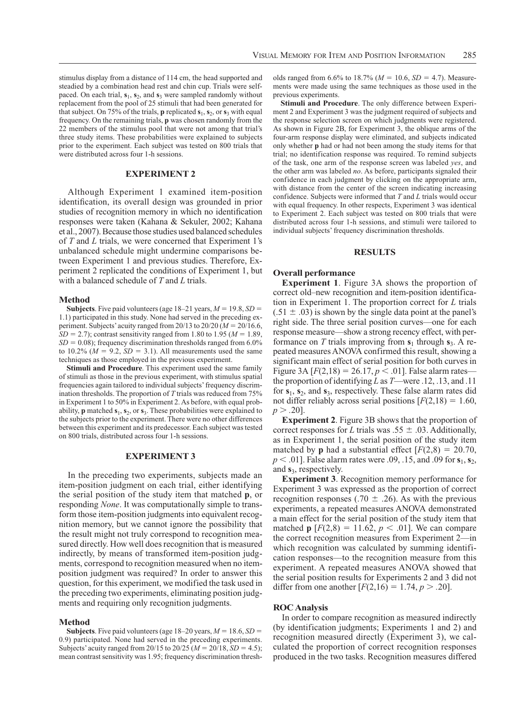stimulus display from a distance of 114 cm, the head supported and steadied by a combination head rest and chin cup. Trials were selfpaced. On each trial,  $s_1$ ,  $s_2$ , and  $s_3$  were sampled randomly without replacement from the pool of 25 stimuli that had been generated for that subject. On 75% of the trials, **p** replicated  $s_1$ ,  $s_2$ , or  $s_3$  with equal frequency. On the remaining trials, **p** was chosen randomly from the 22 members of the stimulus pool that were not among that trial's three study items. These probabilities were explained to subjects prior to the experiment. Each subject was tested on 800 trials that were distributed across four 1-h sessions.

## **EXPERIMENT 2**

Although Experiment 1 examined item-position identification, its overall design was grounded in prior studies of recognition memory in which no identification responses were taken (Kahana & Sekuler, 2002; Kahana et al., 2007). Because those studies used balanced schedules of T and L trials, we were concerned that Experiment 1's unbalanced schedule might undermine comparisons between Experiment 1 and previous studies. Therefore, Experiment 2 replicated the conditions of Experiment 1, but with a balanced schedule of  $T$  and  $L$  trials.

#### **Method**

**Subjects**. Five paid volunteers (age 18–21 years,  $M = 19.8$ ,  $SD =$ 1.1) participated in this study. None had served in the preceding experiment. Subjects' acuity ranged from 20/13 to 20/20 ( $M = 20/16.6$ ,  $SD = 2.7$ ; contrast sensitivity ranged from 1.80 to 1.95 ( $M = 1.89$ ,  $SD = 0.08$ ; frequency discrimination thresholds ranged from 6.0% to 10.2% ( $M = 9.2$ ,  $SD = 3.1$ ). All measurements used the same techniques as those employed in the previous experiment.

Stimuli and Procedure. This experiment used the same family of stimuli as those in the previous experiment, with stimulus spatial frequencies again tailored to individual subjects' frequency discrimination thresholds. The proportion of  $T$  trials was reduced from  $75\%$ in Experiment 1 to 50% in Experiment 2. As before, with equal probability, **p** matched  $s_1$ ,  $s_2$ , or  $s_3$ . These probabilities were explained to the subjects prior to the experiment. There were no other differences between this experiment and its predecessor. Each subject was tested on 800 trials, distributed across four 1-h sessions.

## **EXPERIMENT 3**

In the preceding two experiments, subjects made an item-position judgment on each trial, either identifying the serial position of the study item that matched **p**, or responding None. It was computationally simple to transform those item-position judgments into equivalent recognition memory, but we cannot ignore the possibility that the result might not truly correspond to recognition measured directly. How well does recognition that is measured indirectly, by means of transformed item-position judgments, correspond to recognition measured when no itemposition judgment was required? In order to answer this question, for this experiment, we modified the task used in the preceding two experiments, eliminating position judgments and requiring only recognition judgments.

## **Method**

**Subjects.** Five paid volunteers (age 18–20 years,  $M = 18.6$ ,  $SD =$ 0.9) participated. None had served in the preceding experiments. Subjects' acuity ranged from 20/15 to 20/25 ( $M = 20/18$ ,  $SD = 4.5$ ); mean contrast sensitivity was 1.95; frequency discrimination thresholds ranged from 6.6% to 18.7% ( $M = 10.6$ ,  $SD = 4.7$ ). Measurements were made using the same techniques as those used in the previous experiments.

Stimuli and Procedure. The only difference between Experiment 2 and Experiment 3 was the judgment required of subjects and the response selection screen on which judgments were registered. As shown in Figure 2B, for Experiment 3, the oblique arms of the four-arm response display were eliminated, and subjects indicated only whether **p** had or had not been among the study items for that trial; no identification response was required. To remind subjects of the task, one arm of the response screen was labeled yes, and the other arm was labeled no. As before, participants signaled their confidence in each judgment by clicking on the appropriate arm, with distance from the center of the screen indicating increasing confidence. Subjects were informed that  $T$  and  $L$  trials would occur with equal frequency. In other respects, Experiment 3 was identical to Experiment 2. Each subject was tested on 800 trials that were distributed across four 1-h sessions, and stimuli were tailored to individual subjects' frequency discrimination thresholds.

#### **RESULTS**

#### **Overall performance**

**Experiment 1.** Figure 3A shows the proportion of correct old-new recognition and item-position identification in Experiment 1. The proportion correct for  $L$  trials  $(.51 \pm .03)$  is shown by the single data point at the panel's right side. The three serial position curves—one for each response measure—show a strong recency effect, with performance on T trials improving from  $s_1$  through  $s_3$ . A repeated measures ANOVA confirmed this result, showing a significant main effect of serial position for both curves in Figure 3A  $[F(2,18) = 26.17, p < .01]$ . False alarm rates the proportion of identifying L as  $T$ —were .12, .13, and .11 for  $s_1$ ,  $s_2$ , and  $s_3$ , respectively. These false alarm rates did not differ reliably across serial positions  $[F(2,18) = 1.60]$ ,  $p > .20$ ].

**Experiment 2.** Figure 3B shows that the proportion of correct responses for L trials was .55  $\pm$  .03. Additionally, as in Experiment 1, the serial position of the study item matched by **p** had a substantial effect  $[F(2,8) = 20.70]$ ,  $p < .01$ ]. False alarm rates were 0.09, 0.15, and 0.09 for  $s_1$ ,  $s_2$ , and  $s_3$ , respectively.

**Experiment 3.** Recognition memory performance for Experiment 3 was expressed as the proportion of correct recognition responses (.70  $\pm$  .26). As with the previous experiments, a repeated measures ANOVA demonstrated a main effect for the serial position of the study item that matched **p**  $[F(2,8) = 11.62, p < .01]$ . We can compare the correct recognition measures from Experiment 2—in which recognition was calculated by summing identification responses—to the recognition measure from this experiment. A repeated measures ANOVA showed that the serial position results for Experiments 2 and 3 did not differ from one another  $[F(2,16) = 1.74, p > .20]$ .

#### **ROC** Analysis

In order to compare recognition as measured indirectly (by identification judgments; Experiments 1 and 2) and recognition measured directly (Experiment 3), we calculated the proportion of correct recognition responses produced in the two tasks. Recognition measures differed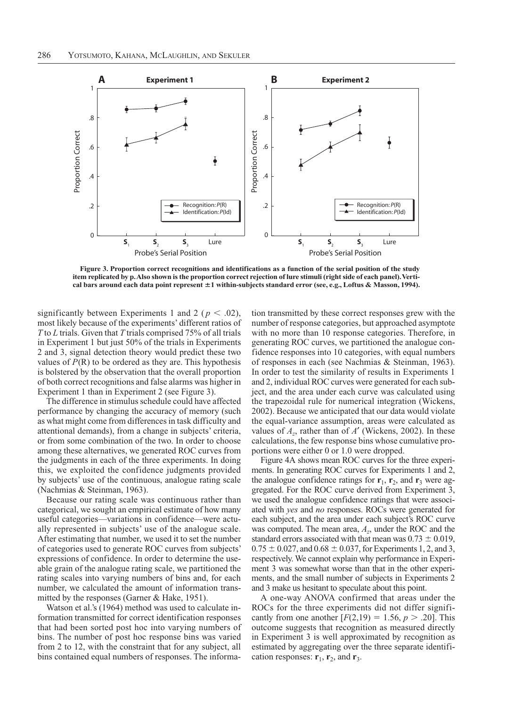

Figure 3. Proportion correct recognitions and identifications as a function of the serial position of the study item replicated by p. Also shown is the proportion correct rejection of lure stimuli (right side of each panel). Vertical bars around each data point represent ±1 within-subjects standard error (see, e.g., Loftus & Masson, 1994).

significantly between Experiments 1 and 2 ( $p < .02$ ), most likely because of the experiments' different ratios of  $T$  to  $L$  trials. Given that  $T$  trials comprised 75% of all trials in Experiment 1 but just 50% of the trials in Experiments 2 and 3, signal detection theory would predict these two values of  $P(R)$  to be ordered as they are. This hypothesis is bolstered by the observation that the overall proportion of both correct recognitions and false alarms was higher in Experiment 1 than in Experiment 2 (see Figure 3).

The difference in stimulus schedule could have affected performance by changing the accuracy of memory (such as what might come from differences in task difficulty and attentional demands), from a change in subjects' criteria, or from some combination of the two. In order to choose among these alternatives, we generated ROC curves from the judgments in each of the three experiments. In doing this, we exploited the confidence judgments provided by subjects' use of the continuous, analogue rating scale (Nachmias & Steinman, 1963).

Because our rating scale was continuous rather than categorical, we sought an empirical estimate of how many useful categories-variations in confidence-were actually represented in subjects' use of the analogue scale. After estimating that number, we used it to set the number of categories used to generate ROC curves from subjects' expressions of confidence. In order to determine the useable grain of the analogue rating scale, we partitioned the rating scales into varying numbers of bins and, for each number, we calculated the amount of information transmitted by the responses (Garner & Hake, 1951).

Watson et al.'s (1964) method was used to calculate information transmitted for correct identification responses that had been sorted post hoc into varying numbers of bins. The number of post hoc response bins was varied from 2 to 12, with the constraint that for any subject, all bins contained equal numbers of responses. The informa-

tion transmitted by these correct responses grew with the number of response categories, but approached asymptote with no more than 10 response categories. Therefore, in generating ROC curves, we partitioned the analogue confidence responses into 10 categories, with equal numbers of responses in each (see Nachmias & Steinman, 1963). In order to test the similarity of results in Experiments 1 and 2, individual ROC curves were generated for each subject, and the area under each curve was calculated using the trapezoidal rule for numerical integration (Wickens, 2002). Because we anticipated that our data would violate the equal-variance assumption, areas were calculated as values of  $A_z$ , rather than of A' (Wickens, 2002). In these calculations, the few response bins whose cumulative proportions were either 0 or 1.0 were dropped.

Figure 4A shows mean ROC curves for the three experiments. In generating ROC curves for Experiments 1 and 2, the analogue confidence ratings for  $r_1$ ,  $r_2$ , and  $r_3$  were aggregated. For the ROC curve derived from Experiment 3, we used the analogue confidence ratings that were associated with yes and no responses. ROCs were generated for each subject, and the area under each subject's ROC curve was computed. The mean area,  $A_z$ , under the ROC and the standard errors associated with that mean was  $0.73 \pm 0.019$ ,  $0.75 \pm 0.027$ , and  $0.68 \pm 0.037$ , for Experiments 1, 2, and 3, respectively. We cannot explain why performance in Experiment 3 was somewhat worse than that in the other experiments, and the small number of subjects in Experiments 2 and 3 make us hesitant to speculate about this point.

A one-way ANOVA confirmed that areas under the ROCs for the three experiments did not differ significantly from one another  $[F(2,19) = 1.56, p > .20]$ . This outcome suggests that recognition as measured directly in Experiment 3 is well approximated by recognition as estimated by aggregating over the three separate identification responses:  $r_1$ ,  $r_2$ , and  $r_3$ .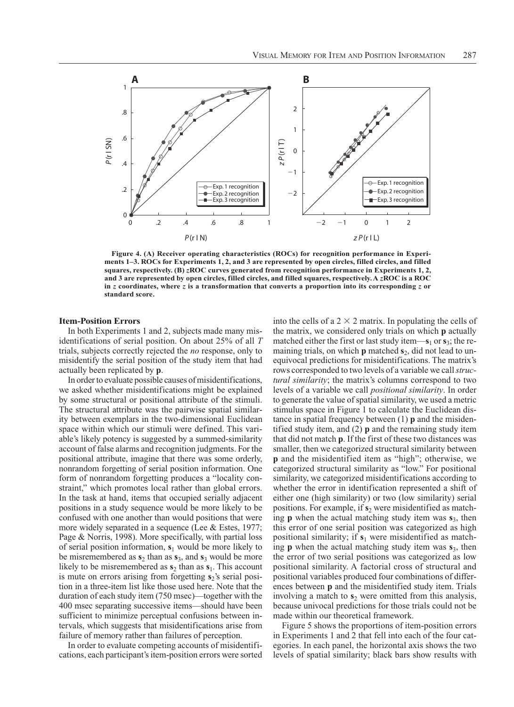

Figure 4. (A) Receiver operating characteristics (ROCs) for recognition performance in Experiments 1–3. ROCs for Experiments 1, 2, and 3 are represented by open circles, filled circles, and filled squares, respectively. (B)  $zROC$  curves generated from recognition performance in Experiments 1, 2, and 3 are represented by open circles, filled circles, and filled squares, respectively. A zROC is a ROC in  $z$  coordinates, where  $z$  is a transformation that converts a proportion into its corresponding  $z$  or standard score.

## **Item-Position Errors**

In both Experiments 1 and 2, subjects made many misidentifications of serial position. On about  $25\%$  of all T trials, subjects correctly rejected the no response, only to misidentify the serial position of the study item that had actually been replicated by **p**.

In order to evaluate possible causes of misidentifications, we asked whether misidentifications might be explained by some structural or positional attribute of the stimuli. The structural attribute was the pairwise spatial similarity between exemplars in the two-dimensional Euclidean space within which our stimuli were defined. This variable's likely potency is suggested by a summed-similarity account of false alarms and recognition judgments. For the positional attribute, imagine that there was some orderly, nonrandom forgetting of serial position information. One form of nonrandom forgetting produces a "locality constraint," which promotes local rather than global errors. In the task at hand, items that occupied serially adjacent positions in a study sequence would be more likely to be confused with one another than would positions that were more widely separated in a sequence (Lee  $& Estes, 1977$ ; Page & Norris, 1998). More specifically, with partial loss of serial position information,  $s_1$  would be more likely to be misremembered as  $s_2$  than as  $s_3$ , and  $s_3$  would be more likely to be misremembered as  $s_2$  than as  $s_1$ . This account is mute on errors arising from forgetting s<sub>2</sub>'s serial position in a three-item list like those used here. Note that the duration of each study item (750 msec)—together with the 400 msec separating successive items—should have been sufficient to minimize perceptual confusions between intervals, which suggests that misidentifications arise from failure of memory rather than failures of perception.

In order to evaluate competing accounts of misidentifications, each participant's item-position errors were sorted into the cells of a  $2 \times 2$  matrix. In populating the cells of the matrix, we considered only trials on which **p** actually matched either the first or last study item— $s_1$  or  $s_3$ ; the remaining trials, on which  $p$  matched  $s_2$ , did not lead to unequivocal predictions for misidentifications. The matrix's rows corresponded to two levels of a variable we call *struc*tural similarity; the matrix's columns correspond to two levels of a variable we call *positional similarity*. In order to generate the value of spatial similarity, we used a metric stimulus space in Figure 1 to calculate the Euclidean distance in spatial frequency between  $(1)$  **p** and the misidentified study item, and  $(2)$  **p** and the remaining study item that did not match **p**. If the first of these two distances was smaller, then we categorized structural similarity between p and the misidentified item as "high"; otherwise, we categorized structural similarity as "low." For positional similarity, we categorized misidentifications according to whether the error in identification represented a shift of either one (high similarity) or two (low similarity) serial positions. For example, if  $s_2$  were misidentified as matching **p** when the actual matching study item was  $s_3$ , then this error of one serial position was categorized as high positional similarity; if  $s_1$  were misidentified as matching **p** when the actual matching study item was  $s_3$ , then the error of two serial positions was categorized as low positional similarity. A factorial cross of structural and positional variables produced four combinations of differences between p and the misidentified study item. Trials involving a match to  $s_2$  were omitted from this analysis, because univocal predictions for those trials could not be made within our theoretical framework.

Figure 5 shows the proportions of item-position errors in Experiments 1 and 2 that fell into each of the four categories. In each panel, the horizontal axis shows the two levels of spatial similarity; black bars show results with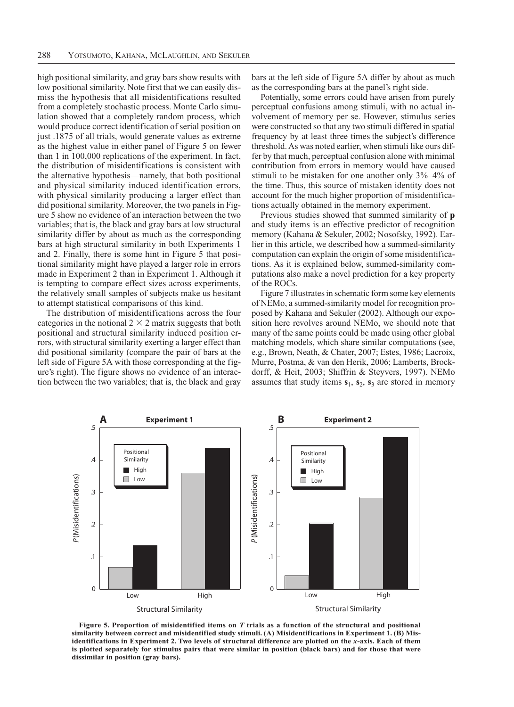high positional similarity, and gray bars show results with low positional similarity. Note first that we can easily dismiss the hypothesis that all misidentifications resulted from a completely stochastic process. Monte Carlo simulation showed that a completely random process, which would produce correct identification of serial position on just .1875 of all trials, would generate values as extreme as the highest value in either panel of Figure 5 on fewer than 1 in  $100,000$  replications of the experiment. In fact, the distribution of misidentifications is consistent with the alternative hypothesis—namely, that both positional and physical similarity induced identification errors, with physical similarity producing a larger effect than did positional similarity. Moreover, the two panels in Figure 5 show no evidence of an interaction between the two variables; that is, the black and gray bars at low structural similarity differ by about as much as the corresponding bars at high structural similarity in both Experiments 1 and 2. Finally, there is some hint in Figure 5 that positional similarity might have played a larger role in errors made in Experiment 2 than in Experiment 1. Although it is tempting to compare effect sizes across experiments, the relatively small samples of subjects make us hesitant to attempt statistical comparisons of this kind.

The distribution of misidentifications across the four categories in the notional  $2 \times 2$  matrix suggests that both positional and structural similarity induced position errors, with structural similarity exerting a larger effect than did positional similarity (compare the pair of bars at the left side of Figure 5A with those corresponding at the figure's right). The figure shows no evidence of an interaction between the two variables; that is, the black and gray bars at the left side of Figure 5A differ by about as much as the corresponding bars at the panel's right side.

Potentially, some errors could have arisen from purely perceptual confusions among stimuli, with no actual involvement of memory per se. However, stimulus series were constructed so that any two stimuli differed in spatial frequency by at least three times the subject's difference threshold. As was noted earlier, when stimuli like ours differ by that much, perceptual confusion alone with minimal contribution from errors in memory would have caused stimuli to be mistaken for one another only  $3\% - 4\%$  of the time. Thus, this source of mistaken identity does not account for the much higher proportion of misidentifications actually obtained in the memory experiment.

Previous studies showed that summed similarity of p and study items is an effective predictor of recognition memory (Kahana & Sekuler, 2002; Nosofsky, 1992). Earlier in this article, we described how a summed-similarity computation can explain the origin of some misidentifications. As it is explained below, summed-similarity computations also make a novel prediction for a key property of the ROCs.

Figure 7 illustrates in schematic form some key elements of NEM<sub>o</sub>, a summed-similarity model for recognition proposed by Kahana and Sekuler (2002). Although our exposition here revolves around NEMo, we should note that many of the same points could be made using other global matching models, which share similar computations (see, e.g., Brown, Neath, & Chater, 2007; Estes, 1986; Lacroix, Murre, Postma, & van den Herik, 2006; Lamberts, Brockdorff, & Heit, 2003; Shiffrin & Steyvers, 1997). NEMo assumes that study items  $s_1$ ,  $s_2$ ,  $s_3$  are stored in memory



Figure 5. Proportion of misidentified items on  $T$  trials as a function of the structural and positional similarity between correct and misidentified study stimuli. (A) Misidentifications in Experiment 1. (B) Misidentifications in Experiment 2. Two levels of structural difference are plotted on the x-axis. Each of them is plotted separately for stimulus pairs that were similar in position (black bars) and for those that were dissimilar in position (gray bars).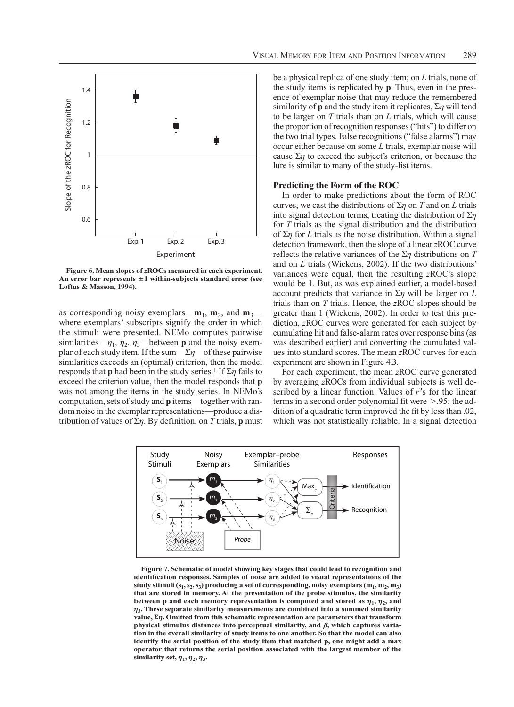

Figure 6. Mean slopes of zROCs measured in each experiment. An error bar represents  $\pm 1$  within-subjects standard error (see Loftus & Masson, 1994).

as corresponding noisy exemplars— $m_1$ ,  $m_2$ , and  $m_3$  where exemplars' subscripts signify the order in which the stimuli were presented. NEMo computes pairwise similarities— $\eta_1$ ,  $\eta_2$ ,  $\eta_3$ —between **p** and the noisy exemplar of each study item. If the sum— $\Sigma \eta$ —of these pairwise similarities exceeds an (optimal) criterion, then the model responds that **p** had been in the study series.<sup>1</sup> If  $\Sigma \eta$  fails to exceed the criterion value, then the model responds that **p** was not among the items in the study series. In NEMo's computation, sets of study and **p** items—together with random noise in the exemplar representations—produce a distribution of values of  $\Sigma \eta$ . By definition, on T trials, **p** must be a physical replica of one study item; on  $L$  trials, none of the study items is replicated by **p**. Thus, even in the presence of exemplar noise that may reduce the remembered similarity of **p** and the study item it replicates,  $\Sigma \eta$  will tend to be larger on  $T$  trials than on  $L$  trials, which will cause the proportion of recognition responses ("hits") to differ on the two trial types. False recognitions ("false alarms") may occur either because on some L trials, exemplar noise will cause  $\Sigma \eta$  to exceed the subject's criterion, or because the lure is similar to many of the study-list items.

## **Predicting the Form of the ROC**

In order to make predictions about the form of ROC curves, we cast the distributions of  $\Sigma \eta$  on T and on L trials into signal detection terms, treating the distribution of  $\Sigma$ *n* for  $T$  trials as the signal distribution and the distribution of  $\Sigma$ *n* for *L* trials as the noise distribution. Within a signal detection framework, then the slope of a linear zROC curve reflects the relative variances of the  $\Sigma \eta$  distributions on T and on  $L$  trials (Wickens, 2002). If the two distributions' variances were equal, then the resulting zROC's slope would be 1. But, as was explained earlier, a model-based account predicts that variance in  $\Sigma \eta$  will be larger on L trials than on  $T$  trials. Hence, the  $zROC$  slopes should be greater than 1 (Wickens, 2002). In order to test this prediction, zROC curves were generated for each subject by cumulating hit and false-alarm rates over response bins (as was described earlier) and converting the cumulated values into standard scores. The mean zROC curves for each experiment are shown in Figure 4B.

For each experiment, the mean zROC curve generated by averaging zROCs from individual subjects is well described by a linear function. Values of  $r<sup>2</sup>s$  for the linear terms in a second order polynomial fit were  $> 0.95$ ; the addition of a quadratic term improved the fit by less than .02, which was not statistically reliable. In a signal detection



Figure 7. Schematic of model showing key stages that could lead to recognition and identification responses. Samples of noise are added to visual representations of the study stimuli  $(s_1, s_2, s_3)$  producing a set of corresponding, noisy exemplars  $(m_1, m_2, m_3)$ that are stored in memory. At the presentation of the probe stimulus, the similarity between p and each memory representation is computed and stored as  $\eta_1$ ,  $\eta_2$ , and  $\eta_3$ . These separate similarity measurements are combined into a summed similarity value,  $\Sigma \eta$ . Omitted from this schematic representation are parameters that transform physical stimulus distances into perceptual similarity, and  $\beta$ , which captures variation in the overall similarity of study items to one another. So that the model can also identify the serial position of the study item that matched p, one might add a max operator that returns the serial position associated with the largest member of the similarity set,  $\eta_1$ ,  $\eta_2$ ,  $\eta_3$ .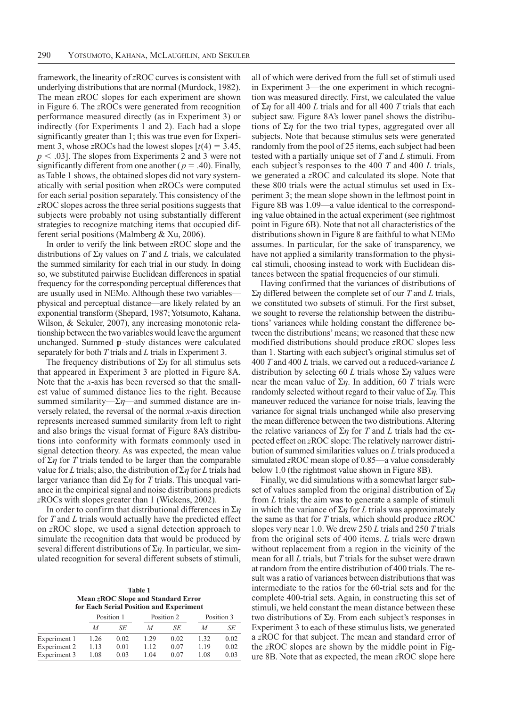framework, the linearity of zROC curves is consistent with underlying distributions that are normal (Murdock, 1982). The mean zROC slopes for each experiment are shown in Figure 6. The zROCs were generated from recognition performance measured directly (as in Experiment 3) or indirectly (for Experiments 1 and 2). Each had a slope significantly greater than 1; this was true even for Experiment 3, whose zROCs had the lowest slopes  $[t(4) = 3.45]$ ,  $p < .03$ ]. The slopes from Experiments 2 and 3 were not significantly different from one another ( $p = .40$ ). Finally, as Table 1 shows, the obtained slopes did not vary systematically with serial position when zROCs were computed for each serial position separately. This consistency of the zROC slopes across the three serial positions suggests that subjects were probably not using substantially different strategies to recognize matching items that occupied different serial positions (Malmberg & Xu, 2006).

In order to verify the link between zROC slope and the distributions of  $\Sigma \eta$  values on T and L trials, we calculated the summed similarity for each trial in our study. In doing so, we substituted pairwise Euclidean differences in spatial frequency for the corresponding perceptual differences that are usually used in NEMo. Although these two variables physical and perceptual distance—are likely related by an exponential transform (Shepard, 1987; Yotsumoto, Kahana, Wilson, & Sekuler, 2007), any increasing monotonic relationship between the two variables would leave the argument unchanged. Summed p-study distances were calculated separately for both  $T$  trials and  $L$  trials in Experiment 3.

The frequency distributions of  $\Sigma$ *n* for all stimulus sets that appeared in Experiment 3 are plotted in Figure 8A. Note that the  $x$ -axis has been reversed so that the smallest value of summed distance lies to the right. Because summed similarity— $\Sigma \eta$ —and summed distance are inversely related, the reversal of the normal  $x$ -axis direction represents increased summed similarity from left to right and also brings the visual format of Figure 8A's distributions into conformity with formats commonly used in signal detection theory. As was expected, the mean value of  $\Sigma$ *n* for *T* trials tended to be larger than the comparable value for L trials; also, the distribution of  $\Sigma \eta$  for L trials had larger variance than did  $\Sigma \eta$  for T trials. This unequal variance in the empirical signal and noise distributions predicts zROCs with slopes greater than 1 (Wickens, 2002).

In order to confirm that distributional differences in  $\Sigma \eta$ for  $T$  and  $L$  trials would actually have the predicted effect on zROC slope, we used a signal detection approach to simulate the recognition data that would be produced by several different distributions of  $\Sigma \eta$ . In particular, we simulated recognition for several different subsets of stimuli,

Table 1 Mean zROC Slope and Standard Error for Each Serial Position and Experiment

| $101$ $1001$ $0011$ $001$ $1001$ $001$ $001$ $001$ $001$ $001$ $001$ |            |      |            |      |            |      |
|----------------------------------------------------------------------|------------|------|------------|------|------------|------|
|                                                                      | Position 1 |      | Position 2 |      | Position 3 |      |
|                                                                      | М          | SE   | М          | SE   | М          | SЕ   |
| Experiment 1                                                         | 1.26       | 0.02 | 1 29       | 0.02 | 1.32       | 0.02 |
| Experiment 2                                                         | 1.13       | 0.01 | 1.12       | 0.07 | 119        | 0.02 |
| Experiment 3                                                         | 1.08       | 0.03 | 1 04       | 0.07 | 1.08       | 0.03 |

all of which were derived from the full set of stimuli used in Experiment 3—the one experiment in which recognition was measured directly. First, we calculated the value of  $\Sigma$ *n* for all 400 *L* trials and for all 400 *T* trials that each subject saw. Figure 8A's lower panel shows the distributions of  $\Sigma \eta$  for the two trial types, aggregated over all subjects. Note that because stimulus sets were generated randomly from the pool of 25 items, each subject had been tested with a partially unique set of T and L stimuli. From each subject's responses to the 400  $T$  and 400  $L$  trials, we generated a zROC and calculated its slope. Note that these 800 trials were the actual stimulus set used in Experiment 3; the mean slope shown in the leftmost point in Figure 8B was 1.09—a value identical to the corresponding value obtained in the actual experiment (see rightmost) point in Figure 6B). Note that not all characteristics of the distributions shown in Figure 8 are faithful to what NEMo assumes. In particular, for the sake of transparency, we have not applied a similarity transformation to the physical stimuli, choosing instead to work with Euclidean distances between the spatial frequencies of our stimuli.

Having confirmed that the variances of distributions of  $\Sigma \eta$  differed between the complete set of our T and L trials, we constituted two subsets of stimuli. For the first subset, we sought to reverse the relationship between the distributions' variances while holding constant the difference between the distributions' means; we reasoned that these new modified distributions should produce zROC slopes less than 1. Starting with each subject's original stimulus set of 400 T and 400 L trials, we carved out a reduced-variance L distribution by selecting 60 L trials whose  $\Sigma \eta$  values were near the mean value of  $\Sigma \eta$ . In addition, 60 T trials were randomly selected without regard to their value of  $\Sigma_{\eta}$ . This maneuver reduced the variance for noise trials, leaving the variance for signal trials unchanged while also preserving the mean difference between the two distributions. Altering the relative variances of  $\Sigma \eta$  for T and L trials had the expected effect on zROC slope: The relatively narrower distribution of summed similarities values on L trials produced a simulated zROC mean slope of  $0.85$ —a value considerably below 1.0 (the rightmost value shown in Figure 8B).

Finally, we did simulations with a somewhat larger subset of values sampled from the original distribution of  $\Sigma \eta$ from  $L$  trials; the aim was to generate a sample of stimuli in which the variance of  $\Sigma \eta$  for L trials was approximately the same as that for  $T$  trials, which should produce  $zROC$ slopes very near 1.0. We drew  $250 L$  trials and  $250 T$  trials from the original sets of  $400$  items.  $L$  trials were drawn without replacement from a region in the vicinity of the mean for all  $L$  trials, but  $T$  trials for the subset were drawn at random from the entire distribution of 400 trials. The result was a ratio of variances between distributions that was intermediate to the ratios for the 60-trial sets and for the complete 400-trial sets. Again, in constructing this set of stimuli, we held constant the mean distance between these two distributions of  $\Sigma \eta$ . From each subject's responses in Experiment 3 to each of these stimulus lists, we generated a zROC for that subject. The mean and standard error of the zROC slopes are shown by the middle point in Figure 8B. Note that as expected, the mean zROC slope here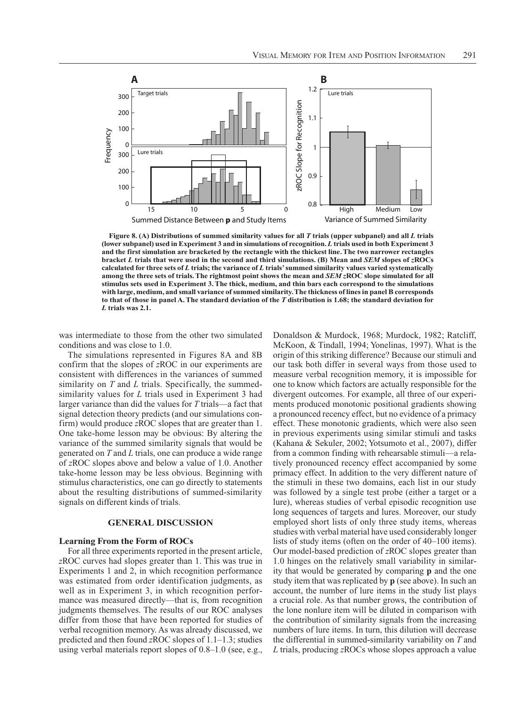

Figure 8. (A) Distributions of summed similarity values for all T trials (upper subpanel) and all L trials (lower subpanel) used in Experiment 3 and in simulations of recognition. L trials used in both Experiment 3 and the first simulation are bracketed by the rectangle with the thickest line. The two narrower rectangles bracket L trials that were used in the second and third simulations. (B) Mean and  $SEM$  slopes of  $z\text{ROCs}$ calculated for three sets of  $L$  trials; the variance of  $L$  trials' summed similarity values varied systematically among the three sets of trials. The rightmost point shows the mean and SEM zROC slope simulated for all stimulus sets used in Experiment 3. The thick, medium, and thin bars each correspond to the simulations with large, medium, and small variance of summed similarity. The thickness of lines in panel B corresponds to that of those in panel A. The standard deviation of the  $T$  distribution is 1.68; the standard deviation for L trials was 2.1.

was intermediate to those from the other two simulated conditions and was close to 1.0.

The simulations represented in Figures 8A and 8B confirm that the slopes of zROC in our experiments are consistent with differences in the variances of summed similarity on  $T$  and  $L$  trials. Specifically, the summedsimilarity values for L trials used in Experiment 3 had larger variance than did the values for  $T$  trials—a fact that signal detection theory predicts (and our simulations confirm) would produce zROC slopes that are greater than 1. One take-home lesson may be obvious: By altering the variance of the summed similarity signals that would be generated on  $T$  and  $L$  trials, one can produce a wide range of zROC slopes above and below a value of 1.0. Another take-home lesson may be less obvious. Beginning with stimulus characteristics, one can go directly to statements about the resulting distributions of summed-similarity signals on different kinds of trials.

## **GENERAL DISCUSSION**

#### **Learning From the Form of ROCs**

For all three experiments reported in the present article, zROC curves had slopes greater than 1. This was true in Experiments 1 and 2, in which recognition performance was estimated from order identification judgments, as well as in Experiment 3, in which recognition performance was measured directly—that is, from recognition judgments themselves. The results of our ROC analyses differ from those that have been reported for studies of verbal recognition memory. As was already discussed, we predicted and then found zROC slopes of  $1.1-1.3$ ; studies using verbal materials report slopes of  $0.8-1.0$  (see, e.g.,

Donaldson & Murdock, 1968; Murdock, 1982; Ratcliff, McKoon, & Tindall, 1994; Yonelinas, 1997). What is the origin of this striking difference? Because our stimuli and our task both differ in several ways from those used to measure verbal recognition memory, it is impossible for one to know which factors are actually responsible for the divergent outcomes. For example, all three of our experiments produced monotonic positional gradients showing a pronounced recency effect, but no evidence of a primacy effect. These monotonic gradients, which were also seen in previous experiments using similar stimuli and tasks (Kahana & Sekuler, 2002; Yotsumoto et al., 2007), differ from a common finding with rehearsable stimuli-a relatively pronounced recency effect accompanied by some primacy effect. In addition to the very different nature of the stimuli in these two domains, each list in our study was followed by a single test probe (either a target or a lure), whereas studies of verbal episodic recognition use long sequences of targets and lures. Moreover, our study employed short lists of only three study items, whereas studies with verbal material have used considerably longer lists of study items (often on the order of  $40-100$  items). Our model-based prediction of zROC slopes greater than 1.0 hinges on the relatively small variability in similarity that would be generated by comparing **p** and the one study item that was replicated by **p** (see above). In such an account, the number of lure items in the study list plays a crucial role. As that number grows, the contribution of the lone nonlure item will be diluted in comparison with the contribution of similarity signals from the increasing numbers of lure items. In turn, this dilution will decrease the differential in summed-similarity variability on  $T$  and L trials, producing zROCs whose slopes approach a value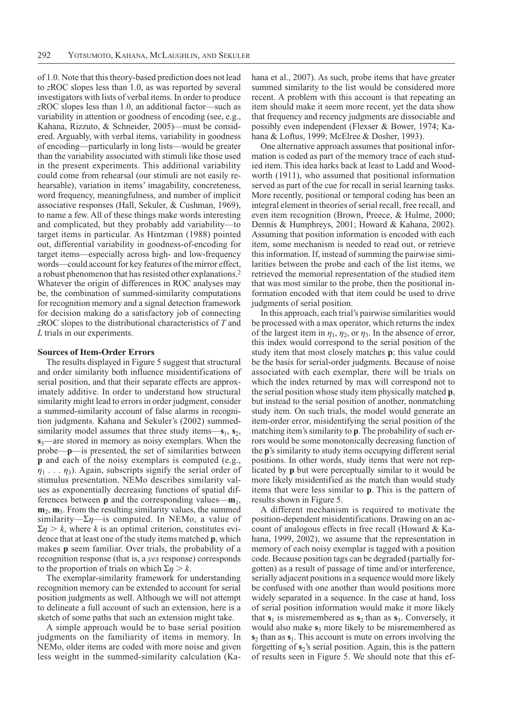of 1.0. Note that this theory-based prediction does not lead to zROC slopes less than 1.0, as was reported by several investigators with lists of verbal items. In order to produce zROC slopes less than 1.0, an additional factor—such as variability in attention or goodness of encoding (see, e.g., Kahana, Rizzuto, & Schneider, 2005)—must be considered. Arguably, with verbal items, variability in goodness of encoding—particularly in long lists—would be greater than the variability associated with stimuli like those used in the present experiments. This additional variability could come from rehearsal (our stimuli are not easily rehearsable), variation in items' imagability, concreteness, word frequency, meaningfulness, and number of implicit associative responses (Hall, Sekuler, & Cushman, 1969), to name a few. All of these things make words interesting and complicated, but they probably add variability—to target items in particular. As Hintzman (1988) pointed out, differential variability in goodness-of-encoding for target items—especially across high- and low-frequency words—could account for key features of the mirror effect, a robust phenomenon that has resisted other explanations.<sup>2</sup> Whatever the origin of differences in ROC analyses may be, the combination of summed-similarity computations for recognition memory and a signal detection framework for decision making do a satisfactory job of connecting  $z\text{ROC}$  slopes to the distributional characteristics of  $T$  and L trials in our experiments.

## **Sources of Item-Order Errors**

The results displayed in Figure 5 suggest that structural and order similarity both influence misidentifications of serial position, and that their separate effects are approximately additive. In order to understand how structural similarity might lead to errors in order judgment, consider a summed-similarity account of false alarms in recognition judgments. Kahana and Sekuler's (2002) summedsimilarity model assumes that three study items— $s_1$ ,  $s_2$ ,  $s_3$ —are stored in memory as noisy exemplars. When the probe—p—is presented, the set of similarities between **p** and each of the noisy exemplars is computed (e.g.,  $\eta_1 \ldots \eta_2$ ). Again, subscripts signify the serial order of stimulus presentation. NEMo describes similarity values as exponentially decreasing functions of spatial differences between  $p$  and the corresponding values— $m_1$ ,  $\mathbf{m}_2$ ,  $\mathbf{m}_3$ . From the resulting similarity values, the summed similarity— $\Sigma \eta$ —is computed. In NEMo, a value of  $\Sigma \eta > k$ , where k is an optimal criterion, constitutes evidence that at least one of the study items matched **p**, which makes **p** seem familiar. Over trials, the probability of a recognition response (that is, a yes response) corresponds to the proportion of trials on which  $\Sigma \eta > k$ .

The exemplar-similarity framework for understanding recognition memory can be extended to account for serial position judgments as well. Although we will not attempt to delineate a full account of such an extension, here is a sketch of some paths that such an extension might take.

A simple approach would be to base serial position judgments on the familiarity of items in memory. In NEMo, older items are coded with more noise and given less weight in the summed-similarity calculation (Kahana et al., 2007). As such, probe items that have greater summed similarity to the list would be considered more recent. A problem with this account is that repeating an item should make it seem more recent, yet the data show that frequency and recency judgments are dissociable and possibly even independent (Flexser & Bower, 1974; Kahana & Loftus, 1999; McElree & Dosher, 1993).

One alternative approach assumes that positional information is coded as part of the memory trace of each studied item. This idea harks back at least to Ladd and Woodworth (1911), who assumed that positional information served as part of the cue for recall in serial learning tasks. More recently, positional or temporal coding has been an integral element in theories of serial recall, free recall, and even item recognition (Brown, Preece, & Hulme, 2000; Dennis & Humphreys, 2001; Howard & Kahana, 2002). Assuming that position information is encoded with each item, some mechanism is needed to read out, or retrieve this information. If, instead of summing the pairwise similarities between the probe and each of the list items, we retrieved the memorial representation of the studied item that was most similar to the probe, then the positional information encoded with that item could be used to drive judgments of serial position.

In this approach, each trial's pairwise similarities would be processed with a max operator, which returns the index of the largest item in  $\eta_1$ ,  $\eta_2$ , or  $\eta_3$ . In the absence of error, this index would correspond to the serial position of the study item that most closely matches **p**; this value could be the basis for serial-order judgments. Because of noise associated with each exemplar, there will be trials on which the index returned by max will correspond not to the serial position whose study item physically matched **p**, but instead to the serial position of another, nonmatching study item. On such trials, the model would generate an item-order error, misidentifying the serial position of the matching item's similarity to **p**. The probability of such errors would be some monotonically decreasing function of the p's similarity to study items occupying different serial positions. In other words, study items that were not replicated by **p** but were perceptually similar to it would be more likely misidentified as the match than would study items that were less similar to **p**. This is the pattern of results shown in Figure 5.

A different mechanism is required to motivate the position-dependent misidentifications. Drawing on an account of analogous effects in free recall (Howard & Kahana, 1999, 2002), we assume that the representation in memory of each noisy exemplar is tagged with a position code. Because position tags can be degraded (partially forgotten) as a result of passage of time and/or interference, serially adjacent positions in a sequence would more likely be confused with one another than would positions more widely separated in a sequence. In the case at hand, loss of serial position information would make it more likely that  $s_1$  is misremembered as  $s_2$  than as  $s_3$ . Conversely, it would also make  $s_3$  more likely to be misremembered as  $s_2$  than as  $s_1$ . This account is mute on errors involving the forgetting of  $s_2$ 's serial position. Again, this is the pattern of results seen in Figure 5. We should note that this ef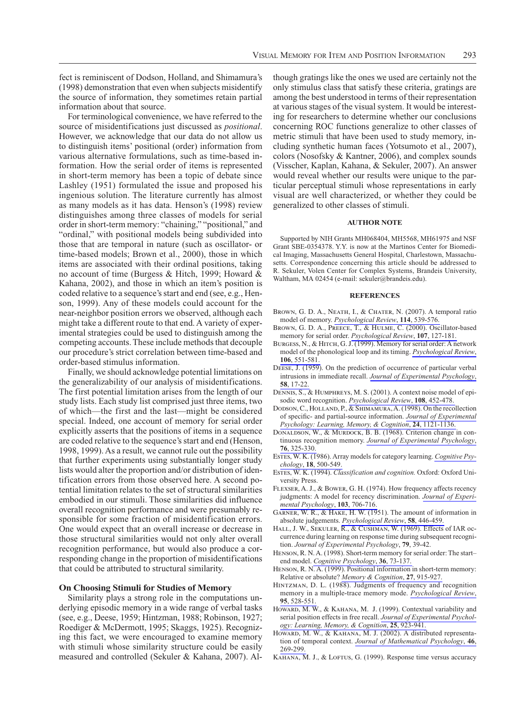fect is reminiscent of Dodson, Holland, and Shimamura's (1998) demonstration that even when subjects misidentify the source of information, they sometimes retain partial information about that source.

For terminological convenience, we have referred to the source of misidentifications just discussed as *positional*. However, we acknowledge that our data do not allow us to distinguish items' positional (order) information from various alternative formulations, such as time-based information. How the serial order of items is represented in short-term memory has been a topic of debate since Lashley (1951) formulated the issue and proposed his ingenious solution. The literature currently has almost as many models as it has data. Henson's (1998) review distinguishes among three classes of models for serial order in short-term memory: "chaining," "positional," and "ordinal," with positional models being subdivided into those that are temporal in nature (such as oscillator- or time-based models; Brown et al., 2000), those in which items are associated with their ordinal positions, taking no account of time (Burgess & Hitch, 1999; Howard & Kahana, 2002), and those in which an item's position is coded relative to a sequence's start and end (see, e.g., Henson, 1999). Any of these models could account for the near-neighbor position errors we observed, although each might take a different route to that end. A variety of experimental strategies could be used to distinguish among the competing accounts. These include methods that decouple our procedure's strict correlation between time-based and order-based stimulus information.

Finally, we should acknowledge potential limitations on the generalizability of our analysis of misidentifications. The first potential limitation arises from the length of our study lists. Each study list comprised just three items, two of which—the first and the last—might be considered special. Indeed, one account of memory for serial order explicitly asserts that the positions of items in a sequence are coded relative to the sequence's start and end (Henson, 1998, 1999). As a result, we cannot rule out the possibility that further experiments using substantially longer study lists would alter the proportion and/or distribution of identification errors from those observed here. A second potential limitation relates to the set of structural similarities embodied in our stimuli. Those similarities did influence overall recognition performance and were presumably responsible for some fraction of misidentification errors. One would expect that an overall increase or decrease in those structural similarities would not only alter overall recognition performance, but would also produce a corresponding change in the proportion of misidentifications that could be attributed to structural similarity.

#### **On Choosing Stimuli for Studies of Memory**

Similarity plays a strong role in the computations underlying episodic memory in a wide range of verbal tasks (see, e.g., Deese, 1959; Hintzman, 1988; Robinson, 1927; Roediger & McDermott, 1995; Skaggs, 1925). Recognizing this fact, we were encouraged to examine memory with stimuli whose similarity structure could be easily measured and controlled (Sekuler & Kahana, 2007). Although gratings like the ones we used are certainly not the only stimulus class that satisfy these criteria, gratings are among the best understood in terms of their representation at various stages of the visual system. It would be interesting for researchers to determine whether our conclusions concerning ROC functions generalize to other classes of metric stimuli that have been used to study memory, including synthetic human faces (Yotsumoto et al., 2007), colors (Nosofsky & Kantner, 2006), and complex sounds (Visscher, Kaplan, Kahana, & Sekuler, 2007). An answer would reveal whether our results were unique to the particular perceptual stimuli whose representations in early visual are well characterized, or whether they could be generalized to other classes of stimuli.

#### **AUTHOR NOTE**

Supported by NIH Grants MH068404, MH5568, MH61975 and NSF Grant SBE-0354378. Y.Y. is now at the Martinos Center for Biomedical Imaging, Massachusetts General Hospital, Charlestown, Massachusetts. Correspondence concerning this article should be addressed to R. Sekuler, Volen Center for Complex Systems, Brandeis University, Waltham, MA 02454 (e-mail: sekuler@brandeis.edu).

#### **REFERENCES**

- BROWN, G. D. A., NEATH, I., & CHATER, N. (2007). A temporal ratio model of memory. Psychological Review, 114, 539-576.
- BROWN, G. D. A., PREECE, T., & HULME, C. (2000). Oscillator-based memory for serial order. Psychological Review, 107, 127-181.
- BURGESS, N., & HITCH, G. J. (1999). Memory for serial order: A network model of the phonological loop and its timing. Psychological Review, 106, 551-581.
- DEESE, J. (1959). On the prediction of occurrence of particular verbal intrusions in immediate recall. Journal of Experimental Psychology, 58, 17-22
- DENNIS, S., & HUMPHREYS, M. S. (2001). A context noise model of episodic word recognition. Psychological Review, 108, 452-478.
- DODSON, C., HOLLAND, P., & SHIMAMURA, A. (1998). On the recollection of specific- and partial-source information. Journal of Experimental Psychology: Learning, Memory, & Cognition, 24, 1121-1136.
- DONALDSON, W., & MURDOCK, B. B. (1968). Criterion change in continuous recognition memory. Journal of Experimental Psychology, 76, 325-330.
- ESTES, W. K. (1986). Array models for category learning. Cognitive Psychology, 18, 500-549.
- ESTES, W. K. (1994). Classification and cognition. Oxford: Oxford University Press.
- FLEXSER, A. J., & BOWER, G. H. (1974). How frequency affects recency judgments: A model for recency discrimination. Journal of Experimental Psychology, 103, 706-716.
- GARNER, W. R., & HAKE, H. W. (1951). The amount of information in absolute judgements. Psychological Review, 58, 446-459.
- HALL, J. W., SEKULER, R., & CUSHMAN, W. (1969). Effects of IAR occurrence during learning on response time during subsequent recognition. Journal of Experimental Psychology, 79, 39-42.
- HENSON, R. N. A. (1998). Short-term memory for serial order: The startend model. Cognitive Psychology, 36, 73-137.
- HENSON, R. N. A. (1999). Positional information in short-term memory: Relative or absolute? Memory & Cognition, 27, 915-927.
- HINTZMAN, D. L. (1988). Judgments of frequency and recognition memory in a multiple-trace memory mode. Psychological Review, 95, 528-551.
- HOWARD, M. W., & KAHANA, M. J. (1999). Contextual variability and serial position effects in free recall. Journal of Experimental Psychology: Learning, Memory, & Cognition, 25, 923-941.
- HOWARD, M. W., & KAHANA, M. J. (2002). A distributed representation of temporal context. Journal of Mathematical Psychology, 46, 269-299
- KAHANA, M. J., & LOFTUS, G. (1999). Response time versus accuracy